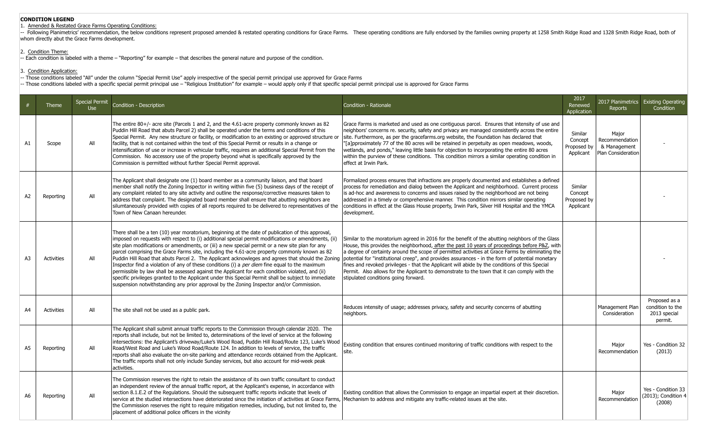### Amended & Restated Grace Farms Operating Conditions:

Following Planimetrics' recommendation, the below conditions represent proposed amended & restated operating conditions for Grace Farms. These operating conditions are fully endorsed by the families owning property at 1258 whom directly abut the Grace Farms development.

#### 2. Condition Theme:

- Each condition is labeled with a theme – "Reporting" for example – that describes the general nature and purpose of the condition.

3. Condition Application:

- Those conditions labeled "All" under the column "Special Permit Use" apply irrespective of the special permit principal use approved for Grace Farms

- Those conditions labeled with a specific special permit principal use – "Religious Institution" for example – would apply only if that specific special permit principal use is approved for Grace Farms

|                | Theme      | <b>Special Permit</b><br><b>Use</b> | Condition - Description                                                                                                                                                                                                                                                                                                                                                                                                                                                                                                                                                                                                                                                                                                                                                                                                                                                                                                     | Condition - Rationale                                                                                                                                                                                                                                                                                                                                                                                                                                                                                                                                                                                                                               | 2017<br>Renewed<br>Application                 | Reports                                                       | 2017 Planimetrics Existing Operating<br>Condition            |
|----------------|------------|-------------------------------------|-----------------------------------------------------------------------------------------------------------------------------------------------------------------------------------------------------------------------------------------------------------------------------------------------------------------------------------------------------------------------------------------------------------------------------------------------------------------------------------------------------------------------------------------------------------------------------------------------------------------------------------------------------------------------------------------------------------------------------------------------------------------------------------------------------------------------------------------------------------------------------------------------------------------------------|-----------------------------------------------------------------------------------------------------------------------------------------------------------------------------------------------------------------------------------------------------------------------------------------------------------------------------------------------------------------------------------------------------------------------------------------------------------------------------------------------------------------------------------------------------------------------------------------------------------------------------------------------------|------------------------------------------------|---------------------------------------------------------------|--------------------------------------------------------------|
| A1             | Scope      | All                                 | The entire $80+/-$ acre site (Parcels 1 and 2, and the 4.61-acre property commonly known as 82<br>Puddin Hill Road that abuts Parcel 2) shall be operated under the terms and conditions of this<br>Special Permit. Any new structure or facility, or modification to an existing or approved structure or<br>facility, that is not contained within the text of this Special Permit or results in a change or<br>intensification of use or increase in vehicular traffic, requires an additional Special Permit from the<br>Commission. No accessory use of the property beyond what is specifically approved by the<br>Commission is permitted without further Special Permit approval.                                                                                                                                                                                                                                   | Grace Farms is marketed and used as one contiguous parcel. Ensures that intensity of use and<br>neighbors' concerns re. security, safety and privacy are managed consistently across the entire<br>site. Furthermore, as per the gracefarms.org website, the Foundation has declared that<br>"[a]pproximately 77 of the 80 acres will be retained in perpetuity as open meadows, woods,<br>wetlands, and ponds," leaving little basis for objection to incorporating the entire 80 acres<br>within the purview of these conditions. This condition mirrors a similar operating condition in<br>effect at Irwin Park.                                | Similar<br>Concept<br>Proposed by<br>Applicant | Major<br>Recommendation<br>& Management<br>Plan Consideration |                                                              |
| A <sub>2</sub> | Reporting  | All                                 | The Applicant shall designate one (1) board member as a community liaison, and that board<br>member shall notify the Zoning Inspector in writing within five (5) business days of the receipt of<br>any complaint related to any site activity and outline the response/corrective measures taken to<br>address that complaint. The designated board member shall ensure that abutting neighbors are<br>silumtaneously provided with copies of all reports required to be delivered to representatives of the<br>Town of New Canaan hereunder.                                                                                                                                                                                                                                                                                                                                                                              | Formalized process ensures that infractions are properly documented and establishes a defined<br>process for remediation and dialog between the Applicant and neighborhood. Current process<br>is ad-hoc and awareness to concerns and issues raised by the neighborhood are not being<br>addressed in a timely or comprehensive manner. This condition mirrors similar operating<br>conditions in effect at the Glass House property, Irwin Park, Silver Hill Hospital and the YMCA<br>development.                                                                                                                                                | Similar<br>Concept<br>Proposed by<br>Applicant |                                                               |                                                              |
| A <sub>3</sub> | Activities | All                                 | There shall be a ten (10) year moratorium, beginning at the date of publication of this approval,<br>imposed on requests with respect to (i) additional special permit modifications or amendments, (ii)<br>site plan modifications or amendments, or (iii) a new special permit or a new site plan for any<br>parcel comprising the Grace Farms site, including the 4.61-acre property commonly known as 82<br>Puddin Hill Road that abuts Parcel 2. The Applicant acknowleges and agrees that should the Zoning<br>Inspector find a violation of any of these conditions (i) a per diem fine equal to the maximum<br>permissible by law shall be assessed against the Applicant for each condition violated, and (ii)<br>specific privileges granted to the Applicant under this Special Permit shall be subject to immediate<br>suspension notwithstanding any prior approval by the Zoning Inspector and/or Commission. | Similar to the moratorium agreed in 2016 for the benefit of the abutting neighbors of the Glass<br>House, this provides the neighborhood, after the past 10 years of proceedings before P&Z, with<br>a degree of certainty around the scope of permitted activities at Grace Farms by eliminating the<br>potential for "institutional creep", and provides assurances - in the form of potential monetary<br>fines and revoked privileges - that the Applicant will abide by the conditions of this Special<br>Permit. Also allows for the Applicant to demonstrate to the town that it can comply with the<br>stipulated conditions going forward. |                                                |                                                               |                                                              |
| A4             | Activities | All                                 | The site shall not be used as a public park.                                                                                                                                                                                                                                                                                                                                                                                                                                                                                                                                                                                                                                                                                                                                                                                                                                                                                | Reduces intensity of usage; addresses privacy, safety and security concerns of abutting<br>neighbors.                                                                                                                                                                                                                                                                                                                                                                                                                                                                                                                                               |                                                | Management Plan<br>Consideration                              | Proposed as a<br>condition to the<br>2013 special<br>permit. |
| A5             | Reporting  | All                                 | The Applicant shall submit annual traffic reports to the Commission through calendar 2020. The<br>reports shall include, but not be limited to, determinations of the level of service at the following<br>intersections: the Applicant's driveway/Luke's Wood Road, Puddin Hill Road/Route 123, Luke's Wood<br>Road/West Road and Luke's Wood Road/Route 124. In addition to levels of service, the traffic<br>reports shall also evaluate the on-site parking and attendance records obtained from the Applicant.<br>The traffic reports shall not only include Sunday services, but also account for mid-week peak<br>activities.                                                                                                                                                                                                                                                                                        | Existing condition that ensures continued monitoring of traffic conditions with respect to the<br>site.                                                                                                                                                                                                                                                                                                                                                                                                                                                                                                                                             |                                                | Major<br>Recommendation                                       | Yes - Condition 32<br>(2013)                                 |
| A6             | Reporting  | All                                 | The Commission reserves the right to retain the assistance of its own traffic consultant to conduct<br>an independent review of the annual traffic report, at the Applicant's expense, in accordance with<br>section 8.1.E.2 of the Regulations. Should the subsequent traffic reports indicate that levels of<br>service at the studied intersections have deteriorated since the initiation of activities at Grace Farms,<br>the Commission reserves the right to require mitigation remedies, including, but not limited to, the<br>placement of additional police officers in the vicinity                                                                                                                                                                                                                                                                                                                              | Existing condition that allows the Commission to engage an impartial expert at their discretion.<br>Mechanism to address and mitigate any traffic-related issues at the site.                                                                                                                                                                                                                                                                                                                                                                                                                                                                       |                                                | Major<br>Recommendation                                       | Yes - Condition 33<br>(2013); Condition 4<br>(2008)          |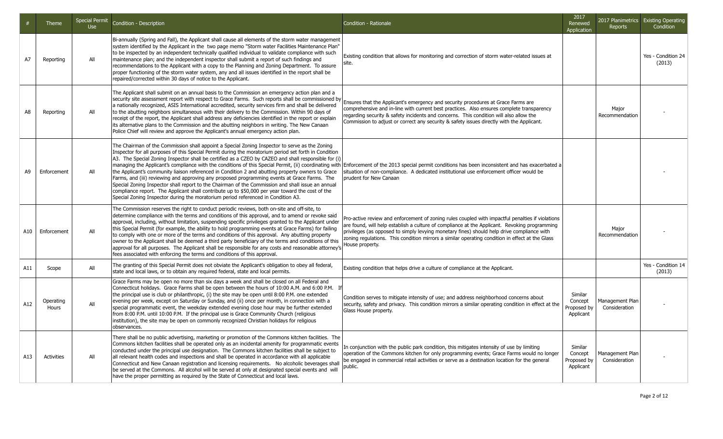|     | <b>Theme</b>       | <b>Special Permit</b><br><b>Use</b> | Condition - Description                                                                                                                                                                                                                                                                                                                                                                                                                                                                                                                                                                                                                                                                                                                                                                                                                                                                                                                                                                                                      | Condition - Rationale                                                                                                                                                                                                                                                                                                                                                                                                 | 2017<br>Renewed<br>Application                 | <b>Reports</b>                   | 2017 Planimetrics Existing Operating<br>Condition |
|-----|--------------------|-------------------------------------|------------------------------------------------------------------------------------------------------------------------------------------------------------------------------------------------------------------------------------------------------------------------------------------------------------------------------------------------------------------------------------------------------------------------------------------------------------------------------------------------------------------------------------------------------------------------------------------------------------------------------------------------------------------------------------------------------------------------------------------------------------------------------------------------------------------------------------------------------------------------------------------------------------------------------------------------------------------------------------------------------------------------------|-----------------------------------------------------------------------------------------------------------------------------------------------------------------------------------------------------------------------------------------------------------------------------------------------------------------------------------------------------------------------------------------------------------------------|------------------------------------------------|----------------------------------|---------------------------------------------------|
| A7  | Reporting          | All                                 | Bi-annually (Spring and Fall), the Applicant shall cause all elements of the storm water management<br>system identified by the Applicant in the two page memo "Storm water Facilities Maintenance Plan"<br>to be inspected by an independent technically qualified individual to validate compliance with such<br>maintenance plan; and the independent inspector shall submit a report of such findings and<br>recommendations to the Applicant with a copy to the Planning and Zoning Department. To assure<br>proper functioning of the storm water system, any and all issues identified in the report shall be<br>repaired/corrected within 30 days of notice to the Applicant.                                                                                                                                                                                                                                                                                                                                        | Existing condition that allows for monitoring and correction of storm water-related issues at<br>site.                                                                                                                                                                                                                                                                                                                |                                                |                                  | Yes - Condition 24<br>(2013)                      |
| A8  | Reporting          | All                                 | The Applicant shall submit on an annual basis to the Commission an emergency action plan and a<br>security site assessment report with respect to Grace Farms. Such reports shall be commissioned by<br>a nationally recognized, ASIS International accredited, security services firm and shall be delivered<br>to the abutting neighbors simultaneous with their delivery to the Commission. Within 90 days of<br>receipt of the report, the Applicant shall address any deficiencies identified in the report or explain<br>its alternative plans to the Commission and the abutting neighbors in writing. The New Canaan<br>Police Chief will review and approve the Applicant's annual emergency action plan.                                                                                                                                                                                                                                                                                                           | Ensures that the Applicant's emergency and security procedures at Grace Farms are<br>comprehensive and in-line with current best practices. Also ensures complete transparency<br>regarding security & safety incidents and concerns. This condition will also allow the<br>Commission to adjust or correct any security & safety issues directly with the Applicant.                                                 |                                                | Major<br>Recommendation          |                                                   |
| A9  | Enforcement        | All                                 | The Chairman of the Commission shall appoint a Special Zoning Inspector to serve as the Zoning<br>Inspector for all purposes of this Special Permit during the moratorium period set forth in Condition<br>A3. The Special Zoning Inspector shall be certified as a CZEO by CAZEO and shall responsible for (i)<br> managing the Applicant's compliance with the conditions of this Special Permit, (ii) coordinating with  Enforcement of the 2013 special permit conditions has been inconsistent and has exacerbated a<br>the Applicant's community liaison referenced in Condition 2 and abutting property owners to Grace<br>Farms, and (iii) reviewing and approving any proposed programming events at Grace Farms. The<br>Special Zoning Inspector shall report to the Chairman of the Commission and shall issue an annual<br>compliance report. The Applicant shall contribute up to \$50,000 per year toward the cost of the<br>Special Zoning Inspector during the moratorium period referenced in Condition A3. | situation of non-compliance. A dedicated institutional use enforcement officer would be<br>prudent for New Canaan                                                                                                                                                                                                                                                                                                     |                                                |                                  |                                                   |
| A10 | Enforcement        | All                                 | The Commission reserves the right to conduct periodic reviews, both on-site and off-site, to<br>determine compliance with the terms and conditions of this approval, and to amend or revoke said<br>approval, including, without limitation, suspending specific privileges granted to the Applicant under<br>this Special Permit (for example, the ability to hold programming events at Grace Farms) for failing<br>to comply with one or more of the terms and conditions of this approval. Any abutting property<br>owner to the Applicant shall be deemed a third party beneficiary of the terms and conditions of this<br>approval for all purposes. The Applicant shall be responsible for any costs and reasonable attorney's<br>fees associated with enforcing the terms and conditions of this approval.                                                                                                                                                                                                           | Pro-active review and enforcement of zoning rules coupled with impactful penalties if violations<br>are found, will help establish a culture of compliance at the Applicant. Revoking programming<br>privileges (as opposed to simply levying monetary fines) should help drive compliance with<br>zoning regulations. This condition mirrors a similar operating condition in effect at the Glass<br>House property. |                                                | Major<br>Recommendation          |                                                   |
| A11 | Scope              | All                                 | The granting of this Special Permit does not obviate the Applicant's obligation to obey all federal,<br>state and local laws, or to obtain any required federal, state and local permits.                                                                                                                                                                                                                                                                                                                                                                                                                                                                                                                                                                                                                                                                                                                                                                                                                                    | Existing condition that helps drive a culture of compliance at the Applicant.                                                                                                                                                                                                                                                                                                                                         |                                                |                                  | Yes - Condition 14<br>(2013)                      |
| A12 | Operating<br>Hours | All                                 | Grace Farms may be open no more than six days a week and shall be closed on all Federal and<br>Connecticut holidays. Grace Farms shall be open between the hours of 10:00 A.M. and 6:00 P.M. If<br>the principal use is club or philanthropic, (i) the site may be open until 8:00 P.M. one extended<br>evening per week, except on Saturday or Sunday, and (ii) once per month, in connection with a<br>special programmatic event, the weekday extended evening close hour may be further extended<br>from 8:00 P.M. until 10:00 P.M. If the principal use is Grace Community Church (religious<br>institution), the site may be open on commonly recognized Christian holidays for religious<br>observances.                                                                                                                                                                                                                                                                                                              | Condition serves to mitigate intensity of use; and address neighborhood concerns about<br>security, safety and privacy. This condition mirrors a similar operating condition in effect at the<br>Glass House property.                                                                                                                                                                                                | Similar<br>Concept<br>Proposed by<br>Applicant | Management Plan<br>Consideration |                                                   |
| A13 | Activities         | All                                 | There shall be no public advertising, marketing or promotion of the Commons kitchen facilities. The<br>Commons kitchen facilities shall be operated only as an incidental amenity for programmatic events<br>conducted under the principal use designation. The Commons kitchen facilities shall be subject to<br>all relevant health codes and inspections and shall be operated in accordance with all applicable<br>Connecticut and New Canaan registration and licensing requirements. No alcoholic beverages shall<br>be served at the Commons. All alcohol will be served at only at designated special events and will<br>have the proper permitting as required by the State of Connecticut and local laws.                                                                                                                                                                                                                                                                                                          | In conjunction with the public park condition, this mitigates intensity of use by limiting<br>operation of the Commons kitchen for only programming events; Grace Farms would no longer<br>be engaged in commercial retail activities or serve as a destination location for the general<br>public.                                                                                                                   | Similar<br>Concept<br>Proposed by<br>Applicant | Management Plan<br>Consideration |                                                   |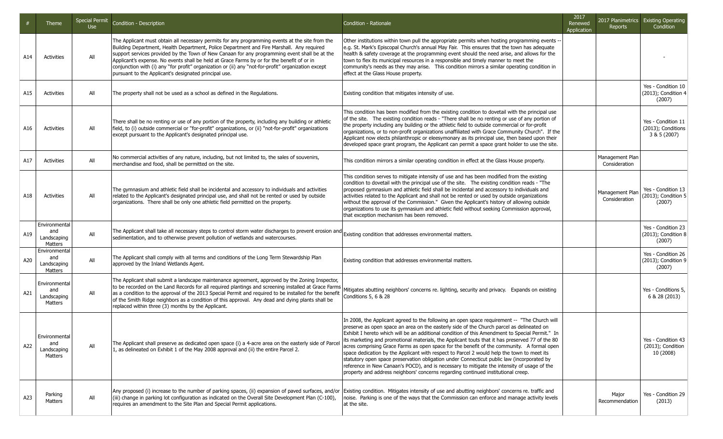|     | Theme                                          | Special Permit<br><b>Use</b> | Condition - Description                                                                                                                                                                                                                                                                                                                                                                                                                                                                                                                                     | Condition - Rationale                                                                                                                                                                                                                                                                                                                                                                                                                                                                                                                                                                                                                                                                                                                                                                                                                                                         | 2017<br>Renewed<br>Application | Reports                          | 2017 Planimetrics Existing Operating<br>Condition        |
|-----|------------------------------------------------|------------------------------|-------------------------------------------------------------------------------------------------------------------------------------------------------------------------------------------------------------------------------------------------------------------------------------------------------------------------------------------------------------------------------------------------------------------------------------------------------------------------------------------------------------------------------------------------------------|-------------------------------------------------------------------------------------------------------------------------------------------------------------------------------------------------------------------------------------------------------------------------------------------------------------------------------------------------------------------------------------------------------------------------------------------------------------------------------------------------------------------------------------------------------------------------------------------------------------------------------------------------------------------------------------------------------------------------------------------------------------------------------------------------------------------------------------------------------------------------------|--------------------------------|----------------------------------|----------------------------------------------------------|
| A14 | <b>Activities</b>                              | All                          | The Applicant must obtain all necessary permits for any programming events at the site from the<br>Building Department, Health Department, Police Department and Fire Marshall. Any required<br>support services provided by the Town of New Canaan for any programming event shall be at the<br>Applicant's expense. No events shall be held at Grace Farms by or for the benefit of or in<br>conjunction with (i) any "for profit" organization or (ii) any "not-for-profit" organization except<br>pursuant to the Applicant's designated principal use. | Other institutions within town pull the appropriate permits when hosting programming events -<br>e.g. St. Mark's Episcopal Church's annual May Fair. This ensures that the town has adequate<br>health & safety coverage at the programming event should the need arise, and allows for the<br>town to flex its municipal resources in a responsible and timely manner to meet the<br>community's needs as they may arise.  This condition mirrors a similar operating condition in<br>effect at the Glass House property.                                                                                                                                                                                                                                                                                                                                                    |                                |                                  |                                                          |
| A15 | <b>Activities</b>                              | All                          | The property shall not be used as a school as defined in the Regulations.                                                                                                                                                                                                                                                                                                                                                                                                                                                                                   | Existing condition that mitigates intensity of use.                                                                                                                                                                                                                                                                                                                                                                                                                                                                                                                                                                                                                                                                                                                                                                                                                           |                                |                                  | Yes - Condition 10<br>(2013); Condition 4<br>(2007)      |
| A16 | <b>Activities</b>                              | All                          | There shall be no renting or use of any portion of the property, including any building or athletic<br>field, to (i) outside commercial or "for-profit" organizations, or (ii) "not-for-profit" organizations<br>except pursuant to the Applicant's designated principal use.                                                                                                                                                                                                                                                                               | This condition has been modified from the existing condition to dovetail with the principal use<br>of the site. The existing condition reads - "There shall be no renting or use of any portion of<br>the property including any building or the athletic field to outside commercial or for-profit<br>organizations, or to non-profit organizations unaffiliated with Grace Community Church". If the<br>Applicant now elects philanthropic or eleesymonary as its principal use, then based upon their<br>developed space grant program, the Applicant can permit a space grant holder to use the site.                                                                                                                                                                                                                                                                     |                                |                                  | Yes - Condition 11<br>(2013); Conditions<br>3 & 5 (2007) |
| A17 | <b>Activities</b>                              | All                          | No commercial activities of any nature, including, but not limited to, the sales of souvenirs,<br>merchandise and food, shall be permitted on the site.                                                                                                                                                                                                                                                                                                                                                                                                     | This condition mirrors a similar operating condition in effect at the Glass House property.                                                                                                                                                                                                                                                                                                                                                                                                                                                                                                                                                                                                                                                                                                                                                                                   |                                | Management Plan<br>Consideration |                                                          |
| A18 | <b>Activities</b>                              | All                          | The gymnasium and athletic field shall be incidental and accessory to individuals and activities<br>related to the Applicant's designated principal use, and shall not be rented or used by outside<br>organizations. There shall be only one athletic field permitted on the property.                                                                                                                                                                                                                                                                     | This condition serves to mitigate intensity of use and has been modified from the existing<br>condition to dovetail with the principal use of the site. The existing condition reads - "The<br>proposed gymnasium and athletic field shall be incidental and accessory to individuals and<br>activities related to the Applicant and shall not be rented or used by outside organizations<br>without the approval of the Commission." Given the Applicant's history of allowing outside<br>organizations to use its gymnasium and athletic field without seeking Commission approval,<br>that exception mechanism has been removed.                                                                                                                                                                                                                                           |                                | Management Plan<br>Consideration | Yes - Condition 13<br>(2013); Condition 5<br>(2007)      |
| A19 | Environmental<br>and<br>Landscaping<br>Matters | All                          | The Applicant shall take all necessary steps to control storm water discharges to prevent erosion and $ \rm_{Existing}$ condition that addresses environmental matters.<br>sedimentation, and to otherwise prevent pollution of wetlands and watercourses.                                                                                                                                                                                                                                                                                                  |                                                                                                                                                                                                                                                                                                                                                                                                                                                                                                                                                                                                                                                                                                                                                                                                                                                                               |                                |                                  | Yes - Condition 23<br>(2013); Condition 8<br>(2007)      |
| A20 | Environmental<br>and<br>Landscaping<br>Matters | All                          | The Applicant shall comply with all terms and conditions of the Long Term Stewardship Plan<br>approved by the Inland Wetlands Agent.                                                                                                                                                                                                                                                                                                                                                                                                                        | Existing condition that addresses environmental matters.                                                                                                                                                                                                                                                                                                                                                                                                                                                                                                                                                                                                                                                                                                                                                                                                                      |                                |                                  | Yes - Condition 26<br>(2013); Condition 9<br>(2007)      |
| A21 | Environmental<br>and<br>Landscaping<br>Matters | All                          | The Applicant shall submit a landscape maintenance agreement, approved by the Zoning Inspector,<br>to be recorded on the Land Records for all required plantings and screening installed at Grace Farms<br>as a condition to the approval of the 2013 Special Permit and required to be installed for the benefit<br>of the Smith Ridge neighbors as a condition of this approval. Any dead and dying plants shall be<br>replaced within three (3) months by the Applicant.                                                                                 | Mitigates abutting neighbors' concerns re. lighting, security and privacy. Expands on existing<br>Conditions 5, 6 & 28                                                                                                                                                                                                                                                                                                                                                                                                                                                                                                                                                                                                                                                                                                                                                        |                                |                                  | Yes - Conditions 5,<br>6 & 28 (2013)                     |
| A22 | Environmental<br>and<br>Landscaping<br>Matters | All                          | The Applicant shall preserve as dedicated open space (i) a 4-acre area on the easterly side of Parcel<br>1, as delineated on Exhibit 1 of the May 2008 approval and (ii) the entire Parcel 2.                                                                                                                                                                                                                                                                                                                                                               | In 2008, the Applicant agreed to the following an open space requirement -- "The Church will<br>preserve as open space an area on the easterly side of the Church parcel as delineated on<br>Exhibit I hereto which will be an additional condition of this Amendment to Special Permit." In<br>its marketing and promotional materials, the Applicant touts that it has preserved 77 of the 80<br>acres comprising Grace Farms as open space for the benefit of the community. A formal open<br>space dedication by the Applicant with respect to Parcel 2 would help the town to meet its<br>statutory open space preservation obligation under Connecticut public law (incorporated by<br>reference in New Canaan's POCD), and is necessary to mitigate the intensity of usage of the<br>property and address neighbors' concerns regarding continued institutional creep. |                                |                                  | Yes - Condition 43<br>(2013); Condition<br>10 (2008)     |
| A23 | Parking<br>Matters                             | All                          | Any proposed (i) increase to the number of parking spaces, (ii) expansion of paved surfaces, and/or<br>(iii) change in parking lot configuration as indicated on the Overall Site Development Plan (C-100),<br>requires an amendment to the Site Plan and Special Permit applications.                                                                                                                                                                                                                                                                      | Existing condition. Mitigates intensity of use and abutting neighbors' concerns re. traffic and<br>noise. Parking is one of the ways that the Commission can enforce and manage activity levels<br>at the site.                                                                                                                                                                                                                                                                                                                                                                                                                                                                                                                                                                                                                                                               |                                | Major<br>Recommendation          | Yes - Condition 29<br>(2013)                             |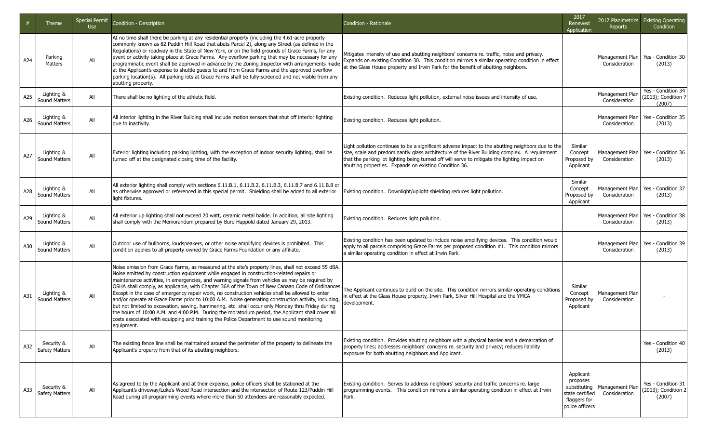|     | Theme                               | <b>Special Permit</b><br><b>Use</b> | Condition - Description                                                                                                                                                                                                                                                                                                                                                                                                                                                                                                                                                                                                                                                                                                                                                                                                                                                                                                                  | Condition - Rationale                                                                                                                                                                                                                                                                                                                                        | 2017<br>Renewed<br><b>Application</b>                                                       | 2017 Planimetrics<br><b>Reports</b> | <b>Existing Operating</b><br>Condition              |
|-----|-------------------------------------|-------------------------------------|------------------------------------------------------------------------------------------------------------------------------------------------------------------------------------------------------------------------------------------------------------------------------------------------------------------------------------------------------------------------------------------------------------------------------------------------------------------------------------------------------------------------------------------------------------------------------------------------------------------------------------------------------------------------------------------------------------------------------------------------------------------------------------------------------------------------------------------------------------------------------------------------------------------------------------------|--------------------------------------------------------------------------------------------------------------------------------------------------------------------------------------------------------------------------------------------------------------------------------------------------------------------------------------------------------------|---------------------------------------------------------------------------------------------|-------------------------------------|-----------------------------------------------------|
| A24 | Parking<br>Matters                  | All                                 | At no time shall there be parking at any residential property (including the 4.61-acre property<br>commonly known as 82 Puddin Hill Road that abuts Parcel 2), along any Street (as defined in the<br>Requlations) or roadway in the State of New York, or on the field grounds of Grace Farms, for any<br>event or activity taking place at Grace Farms. Any overflow parking that may be necessary for any<br>programmatic event shall be approved in advance by the Zoning Inspector with arrangements made<br>at the Applicant's expense to shuttle guests to and from Grace Farms and the approved overflow<br>parking location(s). All parking lots at Grace Farms shall be fully-screened and not visible from any<br>abutting property.                                                                                                                                                                                          | Mitigates intensity of use and abutting neighbors' concerns re. traffic, noise and privacy.<br>Expands on existing Condition 30. This condition mirrors a similar operating condition in effect<br>at the Glass House property and Irwin Park for the benefit of abutting neighbors.                                                                         |                                                                                             | Management Plan<br>Consideration    | Yes - Condition 30<br>(2013)                        |
| A25 | Lighting &<br>Sound Matters         | All                                 | There shall be no lighting of the athletic field.                                                                                                                                                                                                                                                                                                                                                                                                                                                                                                                                                                                                                                                                                                                                                                                                                                                                                        | Existing condition. Reduces light pollution, external noise issues and intensity of use.                                                                                                                                                                                                                                                                     |                                                                                             | Management Plan<br>Consideration    | Yes - Condition 34<br>(2013); Condition 7<br>(2007) |
| A26 | Lighting &<br>Sound Matters         | All                                 | All interior lighting in the River Building shall include motion sensors that shut off interior lighting<br>due to inactivity.                                                                                                                                                                                                                                                                                                                                                                                                                                                                                                                                                                                                                                                                                                                                                                                                           | Existing condition. Reduces light pollution.                                                                                                                                                                                                                                                                                                                 |                                                                                             | Management Plan<br>Consideration    | Yes - Condition 35<br>(2013)                        |
| A27 | Lighting &<br>Sound Matters         | All                                 | Exterior lighting including parking lighting, with the exception of indoor security lighting, shall be<br>turned off at the designated closing time of the facility.                                                                                                                                                                                                                                                                                                                                                                                                                                                                                                                                                                                                                                                                                                                                                                     | Light pollution continues to be a significant adverse impact to the abutting neighbors due to the<br>size, scale and predominantly glass architecture of the River Building complex. A requirement<br>that the parking lot lighting being turned off will serve to mitigate the lighting impact on<br>abutting properties. Expands on existing Condition 36. | Similar<br>Concept<br>Proposed by<br>Applicant                                              | Management Plan<br>Consideration    | Yes - Condition 36<br>(2013)                        |
| A28 | Lighting &<br>Sound Matters         | All                                 | All exterior lighting shall comply with sections $6.11.8.1$ , $6.11.8.2$ , $6.11.8.3$ , $6.11.8.7$ and $6.11.8.8$ or<br>as otherwise approved or referenced in this special permit. Shielding shall be added to all exterior<br>light fixtures.                                                                                                                                                                                                                                                                                                                                                                                                                                                                                                                                                                                                                                                                                          | Existing condition. Downlight/uplight shielding reduces light pollution.                                                                                                                                                                                                                                                                                     | Similar<br>Concept<br>Proposed by<br>Applicant                                              | Management Plan<br>Consideration    | Yes - Condition 37<br>(2013)                        |
| A29 | Lighting &<br>Sound Matters         | All                                 | All exterior up lighting shall not exceed 20 watt, ceramic metal halide. In addition, all site lighting<br>shall comply with the Memorandum prepared by Buro Happold dated January 29, 2013.                                                                                                                                                                                                                                                                                                                                                                                                                                                                                                                                                                                                                                                                                                                                             | Existing condition. Reduces light pollution.                                                                                                                                                                                                                                                                                                                 |                                                                                             | Management Plan<br>Consideration    | Yes - Condition 38<br>(2013)                        |
| A30 | Lighting &<br><b>Sound Matters</b>  | All                                 | Outdoor use of bullhorns, loudspeakers, or other noise amplifying devices is prohibited. This<br>condition applies to all property owned by Grace Farms Foundation or any affiliate.                                                                                                                                                                                                                                                                                                                                                                                                                                                                                                                                                                                                                                                                                                                                                     | Existing condition has been updated to include noise amplifying devices. This condition would<br>apply to all parcels comprising Grace Farms per proposed condition $#1$ . This condition mirrors<br>a similar operating condition in effect at Irwin Park.                                                                                                  |                                                                                             | Management Plan<br>Consideration    | Yes - Condition 39<br>(2013)                        |
| A31 | Lighting &<br>Sound Matters         | All                                 | Noise emission from Grace Farms, as measured at the site's property lines, shall not exceed 55 dBA.<br>Noise emitted by construction equipment while engaged in construction-related repairs or<br>maintenance activities, in emergencies, and warning signals from vehicles as may be required by<br>OSHA shall comply, as applicable, with Chapter 36A of the Town of New Canaan Code of Ordinances.<br>Except in the case of emergency repair work, no construction vehicles shall be allowed to enter<br>and/or operate at Grace Farms prior to 10:00 A.M. Noise generating construction activity, including,<br>but not limited to excavation, sawing, hammering, etc. shall occur only Monday thru Friday during<br>the hours of 10:00 A.M. and 4:00 P.M. During the moratorium period, the Applicant shall cover all<br>costs associated with equipping and training the Police Department to use sound monitoring<br>lequipment. | The Applicant continues to build on the site. This condition mirrors similar operating conditions<br>in effect at the Glass House property, Irwin Park, Silver Hill Hospital and the YMCA<br>development.                                                                                                                                                    | Similar<br>Concept<br>Proposed by<br>Applicant                                              | Management Plan<br>Consideration    |                                                     |
| A32 | Security &<br>Safety Matters        | All                                 | The existing fence line shall be maintained around the perimeter of the property to delineate the<br>Applicant's property from that of its abutting neighbors.                                                                                                                                                                                                                                                                                                                                                                                                                                                                                                                                                                                                                                                                                                                                                                           | Existing condition. Provides abutting neighbors with a physical barrier and a demarcation of<br>property lines; addresses neighbors' concerns re. security and privacy; reduces liability<br>exposure for both abutting neighbors and Applicant.                                                                                                             |                                                                                             |                                     | Yes - Condition 40<br>(2013)                        |
| A33 | Security &<br><b>Safety Matters</b> | All                                 | As agreed to by the Applicant and at their expense, police officers shall be stationed at the<br>Applicant's driveway/Luke's Wood Road intersection and the intersection of Route 123/Puddin Hill<br>Road during all programming events where more than 50 attendees are reasonably expected.                                                                                                                                                                                                                                                                                                                                                                                                                                                                                                                                                                                                                                            | Existing condition. Serves to address neighbors' security and traffic concerns re. large<br>programming events. This condition mirrors a similar operating condition in effect at Irwin<br>Park.                                                                                                                                                             | Applicant<br>proposes<br>substituting<br>state certified<br>flaggers for<br>police officers | Management Plan<br>Consideration    | Yes - Condition 31<br>(2013); Condition 2<br>(2007) |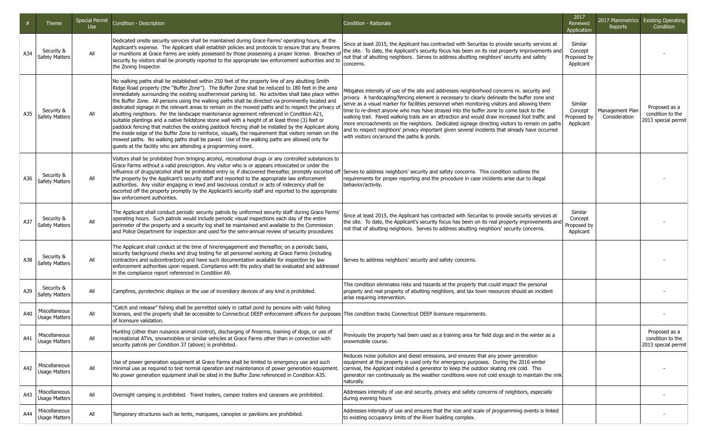|     | Theme                                 | <b>Special Permit</b><br><b>Use</b> | Condition - Description                                                                                                                                                                                                                                                                                                                                                                                                                                                                                                                                                                                                                                                                                                                                                                                                                                                                                                                                                                                                                                                                                     | Condition - Rationale                                                                                                                                                                                                                                                                                                                                                                                                                                                                                                                                                                                                                                                                                                                    | 2017<br>Renewed<br>Application                 | Reports                          | 2017 Planimetrics Existing Operating<br>Condition        |
|-----|---------------------------------------|-------------------------------------|-------------------------------------------------------------------------------------------------------------------------------------------------------------------------------------------------------------------------------------------------------------------------------------------------------------------------------------------------------------------------------------------------------------------------------------------------------------------------------------------------------------------------------------------------------------------------------------------------------------------------------------------------------------------------------------------------------------------------------------------------------------------------------------------------------------------------------------------------------------------------------------------------------------------------------------------------------------------------------------------------------------------------------------------------------------------------------------------------------------|------------------------------------------------------------------------------------------------------------------------------------------------------------------------------------------------------------------------------------------------------------------------------------------------------------------------------------------------------------------------------------------------------------------------------------------------------------------------------------------------------------------------------------------------------------------------------------------------------------------------------------------------------------------------------------------------------------------------------------------|------------------------------------------------|----------------------------------|----------------------------------------------------------|
| A34 | Security &<br>Safety Matters          | All                                 | Dedicated onsite security services shall be maintained during Grace Farms' operating hours, at the<br>Applicant's expense. The Applicant shall establish policies and protocols to ensure that any firearms<br>or munitions at Grace Farms are solely possessed by those possessing a proper license. Breaches of<br>security by visitors shall be promptly reported to the appropriate law enforcement authorities and to<br>the Zoning Inspector.                                                                                                                                                                                                                                                                                                                                                                                                                                                                                                                                                                                                                                                         | Since at least 2015, the Applicant has contracted with Securitas to provide security services at<br>the site. To date, the Applicant's security focus has been on its real property improvements and<br>not that of abutting neighbors. Serves to address abutting neighbors' security and safety<br>concerns.                                                                                                                                                                                                                                                                                                                                                                                                                           | Similar<br>Concept<br>Proposed by<br>Applicant |                                  |                                                          |
| A35 | Security &<br>Safety Matters          | All                                 | No walking paths shall be established within 250 feet of the property line of any abutting Smith<br>Ridge Road property (the "Buffer Zone"). The Buffer Zone shall be reduced to 180 feet in the area<br>immediately surrounding the existing southernmost parking lot. No activities shall take place within<br>the Buffer Zone. All persons using the walking paths shall be directed via prominently located and<br>dedicated signage in the relevant areas to remain on the mowed paths and to respect the privacy of<br>abutting neighbors. Per the landscape maintenance agreement referenced in Condition A21,<br>suitable plantings and a native fieldstone stone wall with a height of at least three (3) feet or<br>paddock fencing that matches the existing paddock fencing shall be installed by the Applicant along<br>the inside edge of the Buffer Zone to reinforce, visually, the requirement that visitors remain on the<br>mowed paths. No walking paths shall be paved. Use of the walking paths are allowed only for<br>guests at the facility who are attending a programming event. | Mitigates intensity of use of the site and addresses neighborhood concerns re. security and<br>privacy. A hardscaping/fencing element is necessary to clearly delineate the buffer zone and<br>serve as a visual marker for facilities personnel when monitoring visitors and allowing them<br>time to re-direct anyone who may have strayed into the buffer zone to come back to the<br>walking trail. Paved walking trails are an attraction and would draw increased foot traffic and<br>more encroachments on the neighbors. Dedicated signage directing visitors to remain on paths<br>and to respect neighbors' privacy important given several incidents that already have occurred<br>with visitors on/around the paths & ponds. | Similar<br>Concept<br>Proposed by<br>Applicant | Management Plan<br>Consideration | Proposed as a<br>condition to the<br>2013 special permit |
| A36 | Security &<br>Safety Matters          | All                                 | Visitors shall be prohibited from bringing alcohol, recreational drugs or any controlled substances to<br>Grace Farms without a valid prescription. Any visitor who is or appears intoxicated or under the<br>influence of drugs/alcohol shall be prohibited entry or, if discovered thereafter, promptly escorted off Serves to address neighbors' security and safety concerns. This condition outlines the<br>the property by the Applicant's security staff and reported to the appropriate law enforcement<br>authorities. Any visitor engaging in lewd and lascivious conduct or acts of indecency shall be<br>escorted off the property promptly by the Applicant's security staff and reported to the appropriate<br>law enforcement authorities.                                                                                                                                                                                                                                                                                                                                                   | requirements for proper reporting and the procedure in case incidents arise due to illegal<br>behavior/activity.                                                                                                                                                                                                                                                                                                                                                                                                                                                                                                                                                                                                                         |                                                |                                  |                                                          |
| A37 | Security &<br>Safety Matters          | All                                 | The Applicant shall conduct periodic security patrols by uniformed security staff during Grace Farms'<br>operating hours. Such patrols would include periodic visual inspections each day of the entire<br>perimeter of the property and a security log shall be maintained and available to the Commission<br>and Police Department for inspection and used for the semi-annual review of security procedures                                                                                                                                                                                                                                                                                                                                                                                                                                                                                                                                                                                                                                                                                              | Since at least 2015, the Applicant has contracted with Securitas to provide security services at<br>the site. To date, the Applicant's security focus has been on its real property improvements and<br>not that of abutting neighbors. Serves to address abutting neighbors' security concerns.                                                                                                                                                                                                                                                                                                                                                                                                                                         | Similar<br>Concept<br>Proposed by<br>Applicant |                                  |                                                          |
| A38 | Security &<br>Safety Matters          | All                                 | The Applicant shall conduct at the time of hire/engagement and thereafter, on a periodic basis,<br>security background checks and drug testing for all personnel working at Grace Farms (including<br>contractors and subcontractors) and have such documentation available for inspection by law<br>enforcement authorities upon request. Compliance with ths policy shall be evaluated and addressed<br>in the compliance report referenced in Condition A9.                                                                                                                                                                                                                                                                                                                                                                                                                                                                                                                                                                                                                                              | Serves to address neighbors' security and safety concerns.                                                                                                                                                                                                                                                                                                                                                                                                                                                                                                                                                                                                                                                                               |                                                |                                  |                                                          |
| A39 | Security &<br>Safety Matters          | All                                 | Campfires, pyrotechnic displays or the use of incendiary devices of any kind is prohibited.                                                                                                                                                                                                                                                                                                                                                                                                                                                                                                                                                                                                                                                                                                                                                                                                                                                                                                                                                                                                                 | This condition eliminates risks and hazards at the property that could impact the personal<br>property and real property of abutting neighbors, and tax town resources should an incident<br>arise requiring intervention.                                                                                                                                                                                                                                                                                                                                                                                                                                                                                                               |                                                |                                  |                                                          |
| A40 | Miscellaneous<br><b>Usage Matters</b> | All                                 | "Catch and release" fishing shall be permitted solely in cattail pond by persons with valid fishing<br>licenses, and the property shall be accessible to Connecticut DEEP enforcement officers for purposes This condition tracks Connecticut DEEP licensure requirements.<br>lof licensure validation.                                                                                                                                                                                                                                                                                                                                                                                                                                                                                                                                                                                                                                                                                                                                                                                                     |                                                                                                                                                                                                                                                                                                                                                                                                                                                                                                                                                                                                                                                                                                                                          |                                                |                                  |                                                          |
| A41 | Miscellaneous<br><b>Usage Matters</b> | ail                                 | Hunting (other than nuisance animal control), discharging of firearms, training of dogs, or use of<br>recreational ATVs, snowmobiles or similar vehicles at Grace Farms other than in connection with<br>security patrols per Condition 37 (above) is prohibited.                                                                                                                                                                                                                                                                                                                                                                                                                                                                                                                                                                                                                                                                                                                                                                                                                                           | Previously the property had been used as a training area for field dogs and in the winter as a<br>snowmobile course.                                                                                                                                                                                                                                                                                                                                                                                                                                                                                                                                                                                                                     |                                                |                                  | Proposed as a<br>condition to the<br>2013 special permit |
| A42 | Miscellaneous<br><b>Usage Matters</b> | All                                 | Use of power generation equipment at Grace Farms shall be limited to emergency use and such<br>minimal use as required to test normal operation and maintenance of power generation equipment.<br>No power generation equipment shall be sited in the Buffer Zone referenced in Condition A35.                                                                                                                                                                                                                                                                                                                                                                                                                                                                                                                                                                                                                                                                                                                                                                                                              | Reduces noise pollution and diesel emissions, and ensures that any power generation<br>equipment at the property is used only for emergency purposes. During the 2016 winter<br>carnival, the Applicant installed a generator to keep the outdoor skating rink cold. This<br>generator ran continuously as the weather conditions were not cold enough to maintain the rink<br>naturally.                                                                                                                                                                                                                                                                                                                                                |                                                |                                  |                                                          |
| A43 | Miscellaneous<br>Usage Matters        | All                                 | Overnight camping is prohibited. Travel trailers, camper trailers and caravans are prohibited.                                                                                                                                                                                                                                                                                                                                                                                                                                                                                                                                                                                                                                                                                                                                                                                                                                                                                                                                                                                                              | Addresses intensity of use and security, privacy and safety concerns of neighbors, especially<br>during evening hours                                                                                                                                                                                                                                                                                                                                                                                                                                                                                                                                                                                                                    |                                                |                                  |                                                          |
| A44 | Miscellaneous<br><b>Usage Matters</b> | All                                 | Temporary structures such as tents, marquees, canopies or pavilions are prohibited.                                                                                                                                                                                                                                                                                                                                                                                                                                                                                                                                                                                                                                                                                                                                                                                                                                                                                                                                                                                                                         | Addresses intensity of use and ensures that the size and scale of programming events is linked<br>to existing occupancy limits of the River building complex.                                                                                                                                                                                                                                                                                                                                                                                                                                                                                                                                                                            |                                                |                                  |                                                          |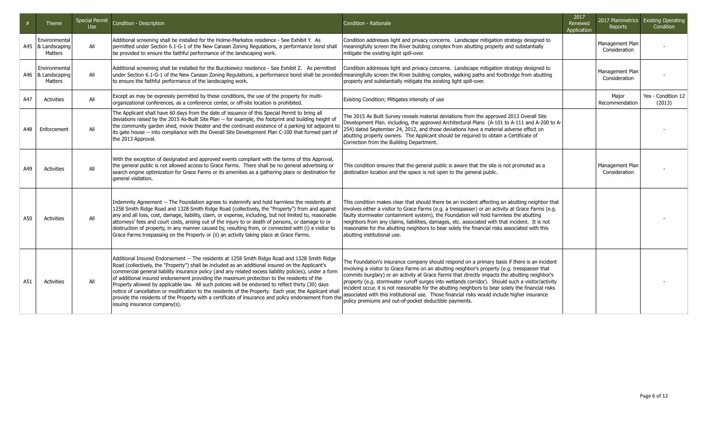|     | Theme                                           | <b>Special Permit</b><br><b>Use</b> | Condition - Description                                                                                                                                                                                                                                                                                                                                                                                                                                                                                                                                                                                                                                                                                                                                                | Condition - Rationale                                                                                                                                                                                                                                                                                                                                                                                                                                                                                                                                                                                                                                            | 2017<br>Renewed<br>Application | Reports                          | 2017 Planimetrics Existing Operating<br>Condition |
|-----|-------------------------------------------------|-------------------------------------|------------------------------------------------------------------------------------------------------------------------------------------------------------------------------------------------------------------------------------------------------------------------------------------------------------------------------------------------------------------------------------------------------------------------------------------------------------------------------------------------------------------------------------------------------------------------------------------------------------------------------------------------------------------------------------------------------------------------------------------------------------------------|------------------------------------------------------------------------------------------------------------------------------------------------------------------------------------------------------------------------------------------------------------------------------------------------------------------------------------------------------------------------------------------------------------------------------------------------------------------------------------------------------------------------------------------------------------------------------------------------------------------------------------------------------------------|--------------------------------|----------------------------------|---------------------------------------------------|
|     | Environmental<br>A45   & Landscaping<br>Matters | All                                 | Additional screening shall be installed for the Holme-Markatos residence - See Exhibit Y. As<br>permitted under Section 6.1-G-1 of the New Canaan Zoning Regulations, a performance bond shall<br>be provided to ensure the faithful performance of the landscaping work.                                                                                                                                                                                                                                                                                                                                                                                                                                                                                              | Condition addresses light and privacy concerns. Landscape mitigation strategy designed to<br>meaningfully screen the River building complex from abutting property and substantially<br>mitigate the existing light spill-over.                                                                                                                                                                                                                                                                                                                                                                                                                                  |                                | Management Plan<br>Consideration |                                                   |
|     | Environmental<br>A46   & Landscaping<br>Matters | All                                 | Additional screening shall be installed for the Buczkiewicz residence - See Exhibit Z. As permitted<br>under Section 6.1-G-1 of the New Canaan Zoning Regulations, a performance bond shall be provided meaningfully screen the River building complex, walking paths and footbridge from abutting<br>to ensure the faithful performance of the landscaping work.                                                                                                                                                                                                                                                                                                                                                                                                      | Condition addresses light and privacy concerns. Landscape mitigation strategy designed to<br>property and substantially mitigate the existing light spill-over.                                                                                                                                                                                                                                                                                                                                                                                                                                                                                                  |                                | Management Plan<br>Consideration |                                                   |
| A47 | Activities                                      | All                                 | Except as may be expressly permitted by these conditions, the use of the property for multi-<br>organizational conferences, as a conference center, or off-site location is prohibited.                                                                                                                                                                                                                                                                                                                                                                                                                                                                                                                                                                                | Existing Condition; Mitigates intensity of use                                                                                                                                                                                                                                                                                                                                                                                                                                                                                                                                                                                                                   |                                | Major<br>Recommendation          | Yes - Condition 12<br>(2013)                      |
| A48 | Enforcement                                     | All                                 | The Applicant shall have 60 days from the date of issuance of this Special Permit to bring all<br>deviations raised by the 2015 As-Built Site Plan -- for example, the footprint and building height of<br>the community garden shed, movie theater and the continued existence of a parking lot adjacent to<br>its gate house -- into compliance with the Overall Site Development Plan C-100 that formed part of<br>the 2013 Approval.                                                                                                                                                                                                                                                                                                                               | The 2015 As Built Survey reveals material deviations from the approved 2013 Overall Site<br>Development Plan, including, the approved Architectural Plans (A-101 to A-111 and A-200 to A-<br>254) dated September 24, 2012, and those deviations have a material adverse effect on<br>abutting property owners. The Applicant should be required to obtain a Certificate of<br>Correction from the Building Department.                                                                                                                                                                                                                                          |                                |                                  |                                                   |
| A49 | Activities                                      | All                                 | With the exception of designated and approved events compliant with the terms of this Approval,<br>the general public is not allowed access to Grace Farms. There shall be no general advertising or<br>search engine optimization for Grace Farms or its amenities as a gathering place or destination for<br>general visitation.                                                                                                                                                                                                                                                                                                                                                                                                                                     | This condition ensures that the general public is aware that the site is not promoted as a<br>destination location and the space is not open to the general public.                                                                                                                                                                                                                                                                                                                                                                                                                                                                                              |                                | Management Plan<br>Consideration |                                                   |
| A50 | Activities                                      | All                                 | Indemnity Agreement -- The Foundation agrees to indemnify and hold harmless the residents at<br>1258 Smith Ridge Road and 1328 Smith Ridge Road (collectively, the "Property") from and against<br>any and all loss, cost, damage, liability, claim, or expense, including, but not limited to, reasonable<br>attorneys' fees and court costs, arising out of the injury to or death of persons, or damage to or<br>destruction of property, in any manner caused by, resulting from, or connected with (i) a visitor to<br>Grace Farms trespassing on the Property or (ii) an activity taking place at Grace Farms.                                                                                                                                                   | This condition makes clear that should there be an incident affecting an abutting neighbor that<br>involves either a visitor to Grace Farms (e.g. a tresspasser) or an activity at Grace Farms (e.g.<br>faulty stormwater containment system), the Foundation will hold harmless the abutting<br>neighbors from any claims, liabilities, damages, etc. associated with that incident. It is not<br>reasonable for the abutting neighbors to bear solely the financial risks associated with this<br>abutting institutional use.                                                                                                                                  |                                |                                  |                                                   |
| A51 | Activities                                      | All                                 | Additional Insured Endorsement -- The residents at 1258 Smith Ridge Road and 1328 Smith Ridge<br>Road (collectively, the "Property") shall be included as an additional insured on the Applicant's<br>commercial general liability insurance policy (and any related excess liability policies), under a form<br>of additional insured endorsement providing the maximum protection to the residents of the<br>Property allowed by applicable law. All such policies will be endorsed to reflect thirty (30) days<br>notice of cancellation or modification to the residents of the Property. Each year, the Applicant shall<br>provide the residents of the Property with a certificate of insurance and policy endorsement from the<br>issuing insurance company(s). | The Foundation's insurance company should respond on a primary basis if there is an incident<br>involving a visitor to Grace Farms on an abutting neighbor's property (e.g. tresspasser that<br>commits burglary) or an activity at Grace Farms that directly impacts the abutting neighbor's<br>property (e.g. stormwater runoff surges into wetlands corridor). Should such a visitor/activity<br>incident occur, it is not reasonable for the abutting neighbors to bear solely the financial risks<br>associated with this institutional use. Those financial risks would include higher insurance<br>policy premiums and out-of-pocket deductible payments. |                                |                                  |                                                   |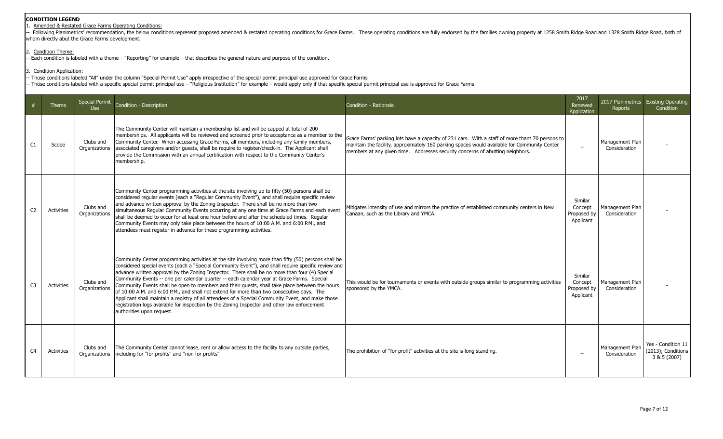# 1. Amended & Restated Grace Farms Operating Conditions:

-- Following Planimetrics' recommendation, the below conditions represent proposed amended & restated operating conditions for Grace Farms. These operating conditions are fully endorsed by the families owning property at 1 whom directly abut the Grace Farms development.

#### 2. Condition Theme:

- Each condition is labeled with a theme – "Reporting" for example – that describes the general nature and purpose of the condition.

Condition Application:

- Those conditions labeled "All" under the column "Special Permit Use" apply irrespective of the special permit principal use approved for Grace Farms - Those conditions labeled with a specific special permit principal use – "Religious Institution" for example – would apply only if that specific special permit principal use is approved for Grace Farms

|                | <b>Theme</b>      | <b>Special Permit</b><br><b>Use</b> | Condition - Description                                                                                                                                                                                                                                                                                                                                                                                                                                                                                                                                                                                                                                                                                                                                                                                                                     | Condition - Rationale                                                                                                                                                                                                                                                            | 2017<br>Renewed<br>Application                 | Reports                          | 2017 Planimetrics Existing Operating<br>Condition        |
|----------------|-------------------|-------------------------------------|---------------------------------------------------------------------------------------------------------------------------------------------------------------------------------------------------------------------------------------------------------------------------------------------------------------------------------------------------------------------------------------------------------------------------------------------------------------------------------------------------------------------------------------------------------------------------------------------------------------------------------------------------------------------------------------------------------------------------------------------------------------------------------------------------------------------------------------------|----------------------------------------------------------------------------------------------------------------------------------------------------------------------------------------------------------------------------------------------------------------------------------|------------------------------------------------|----------------------------------|----------------------------------------------------------|
| C1             | Scope             | Clubs and                           | The Community Center will maintain a membership list and will be capped at total of 200<br>memberships. All applicants will be reviewed and screened prior to acceptance as a member to the<br>Community Center. When accessing Grace Farms, all members, including any family members,<br>Organizations associated caregivers and/or guests, shall be require to register/check-in. The Applicant shall<br>provide the Commission with an annual certification with respect to the Community Center's<br>membership.                                                                                                                                                                                                                                                                                                                       | Grace Farms' parking lots have a capacity of 231 cars. With a staff of more thant 70 persons to<br>maintain the facility, approximately 160 parking spaces would available for Community Center<br>members at any given time. Addresses security concerns of abutting neighbors. | $\overline{\phantom{0}}$                       | Management Plan<br>Consideration |                                                          |
| C <sub>2</sub> | Activities        | Clubs and<br>Organizations          | Community Center programming activities at the site involving up to fifty (50) persons shall be<br>considered reqular events (each a "Reqular Community Event"), and shall require specific review<br>and advance written approval by the Zoning Inspector. There shall be no more than two<br>simultaneous Regular Community Events occurring at any one time at Grace Farms and each event<br>shall be deemed to occur for at least one hour before and after the scheduled times. Regular<br>Community Events may only take place between the hours of 10:00 A.M. and 6:00 P.M., and<br>attendees must register in advance for these programming activities.                                                                                                                                                                             | Mitigates intensity of use and mirrors the practice of established community centers in New<br>Canaan, such as the Library and YMCA.                                                                                                                                             | Similar<br>Concept<br>Proposed by<br>Applicant | Management Plan<br>Consideration |                                                          |
| C <sub>3</sub> | <b>Activities</b> | Clubs and<br>Organizations          | Community Center programming activities at the site involving more than fifty (50) persons shall be<br>considered special events (each a "Special Community Event"), and shall require specific review and<br>advance written approval by the Zoning Inspector. There shall be no more than four (4) Special<br>Community Events -- one per calendar quarter -- each calendar year at Grace Farms. Special<br>Community Events shall be open to members and their guests, shall take place between the hours<br>of 10:00 A.M. and 6:00 P.M., and shall not extend for more than two consecutive days. The<br>Applicant shall maintain a registry of all attendees of a Special Community Event, and make those<br>registration logs available for inspection by the Zoning Inspector and other law enforcement<br>authorities upon request. | This would be for tournaments or events with outside groups similar to programming activities<br>sponsored by the YMCA.                                                                                                                                                          | Similar<br>Concept<br>Proposed by<br>Applicant | Management Plan<br>Consideration |                                                          |
| C <sub>4</sub> | Activities        | Clubs and<br>Organizations          | The Community Center cannot lease, rent or allow access to the facility to any outside parties,<br>including for "for profits" and "non for profits"                                                                                                                                                                                                                                                                                                                                                                                                                                                                                                                                                                                                                                                                                        | The prohibition of "for profit" activities at the site is long standing.                                                                                                                                                                                                         | $\overline{\phantom{a}}$                       | Management Plan<br>Consideration | Yes - Condition 11<br>(2013); Conditions<br>3 & 5 (2007) |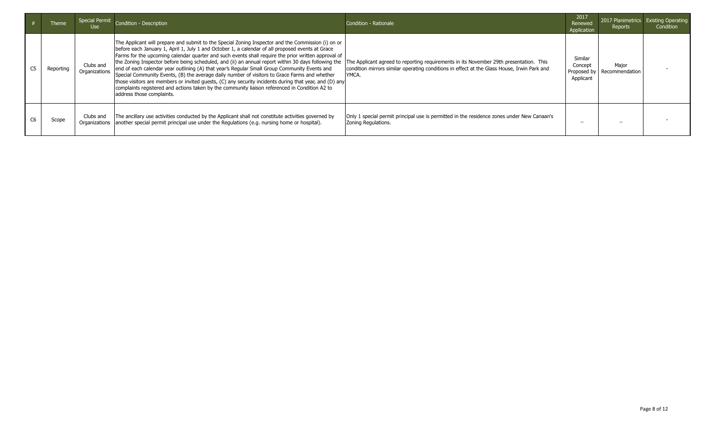| Theme     | Special Permit<br>Use      | Condition - Description                                                                                                                                                                                                                                                                                                                                                                                                                                                                                                                                                                                                                                                                                                                                                                                                                                        | Condition - Rationale                                                                                                                                                                          | 2017<br>Renewed<br>Application                 | Reports                 | 2017 Planimetrics Existing Operating<br>Condition |
|-----------|----------------------------|----------------------------------------------------------------------------------------------------------------------------------------------------------------------------------------------------------------------------------------------------------------------------------------------------------------------------------------------------------------------------------------------------------------------------------------------------------------------------------------------------------------------------------------------------------------------------------------------------------------------------------------------------------------------------------------------------------------------------------------------------------------------------------------------------------------------------------------------------------------|------------------------------------------------------------------------------------------------------------------------------------------------------------------------------------------------|------------------------------------------------|-------------------------|---------------------------------------------------|
| Reporting | Clubs and<br>Organizations | The Applicant will prepare and submit to the Special Zoning Inspector and the Commission (i) on or<br>before each January 1, April 1, July 1 and October 1, a calendar of all proposed events at Grace<br>Farms for the upcoming calendar quarter and such events shall require the prior written approval of<br>the Zoning Inspector before being scheduled, and (ii) an annual report within 30 days following the<br>end of each calendar year outlining (A) that year's Regular Small Group Community Events and<br>Special Community Events, (B) the average daily number of visitors to Grace Farms and whether<br>those visitors are members or invited quests, (C) any security incidents during that year, and (D) any<br>complaints registered and actions taken by the community liaison referenced in Condition A2 to<br>address those complaints. | The Applicant agreed to reporting requirements in its November 29th presentation. This<br>condition mirrors similar operating conditions in effect at the Glass House, Irwin Park and<br>YMCA. | Similar<br>Concept<br>Proposed by<br>Applicant | Maior<br>Recommendation |                                                   |
| Scope     | Clubs and                  | The ancillary use activities conducted by the Applicant shall not constitute activities governed by<br>Organizations   another special permit principal use under the Regulations (e.g. nursing home or hospital).                                                                                                                                                                                                                                                                                                                                                                                                                                                                                                                                                                                                                                             | Only 1 special permit principal use is permitted in the residence zones under New Canaan's<br>Zoning Regulations.                                                                              | -                                              |                         |                                                   |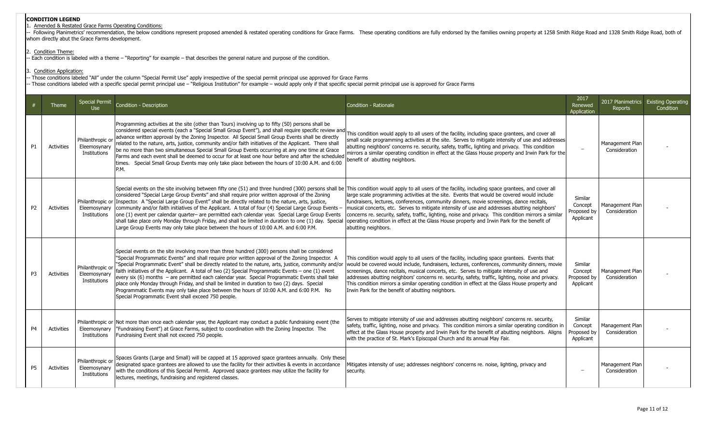# Amended & Restated Grace Farms Operating Conditions:

- Following Planimetrics' recommendation, the below conditions represent proposed amended & restated operating conditions for Grace Farms. These operating conditions are fully endorsed by the families owning property at 12 whom directly abut the Grace Farms development.

#### 2. Condition Theme:

Each condition is labeled with a theme - "Reporting" for example - that describes the general nature and purpose of the condition.

## . Condition Application:

- Those conditions labeled "All" under the column "Special Permit Use" apply irrespective of the special permit principal use approved for Grace Farms

- Those conditions labeled with a specific special permit principal use – "Religious Institution" for example – would apply only if that specific special permit principal use is approved for Grace Farms

|                | Theme             | <b>Special Permit</b><br><b>Use</b>              | Condition - Description                                                                                                                                                                                                                                                                                                                                                                                                                                                                                                                                                                                                                                                                                                                                                                                                                    | Condition - Rationale                                                                                                                                                                                                                                                                                                                                                                                                                                                                                                                                     | 2017<br>Renewed<br>Application                 | 2017 Planimetrics<br><b>Reports</b> | <b>Existing Operating</b><br>Condition |
|----------------|-------------------|--------------------------------------------------|--------------------------------------------------------------------------------------------------------------------------------------------------------------------------------------------------------------------------------------------------------------------------------------------------------------------------------------------------------------------------------------------------------------------------------------------------------------------------------------------------------------------------------------------------------------------------------------------------------------------------------------------------------------------------------------------------------------------------------------------------------------------------------------------------------------------------------------------|-----------------------------------------------------------------------------------------------------------------------------------------------------------------------------------------------------------------------------------------------------------------------------------------------------------------------------------------------------------------------------------------------------------------------------------------------------------------------------------------------------------------------------------------------------------|------------------------------------------------|-------------------------------------|----------------------------------------|
| <b>P1</b>      | <b>Activities</b> | Philanthropic or<br>Eleemosynary<br>Institutions | Programming activities at the site (other than Tours) involving up to fifty (50) persons shall be<br>considered special events (each a "Special Small Group Event"), and shall require specific review and<br>advance written approval by the Zoning Inspector. All Special Small Group Events shall be directly<br>related to the nature, arts, justice, community and/or faith initiatives of the Applicant. There shall<br>be no more than two simultaneous Special Small Group Events occurring at any one time at Grace<br>Farms and each event shall be deemed to occur for at least one hour before and after the scheduled<br>times. Special Small Group Events may only take place between the hours of 10:00 A.M. and 6:00<br>IP.M.                                                                                              | This condition would apply to all users of the facility, including space grantees, and cover all<br>small scale programming activities at the site. Serves to mitigate intensity of use and addresses<br>abutting neighbors' concerns re. security, safety, traffic, lighting and privacy. This condition<br>mirrors a similar operating condition in effect at the Glass House property and Irwin Park for the<br>benefit of abutting neighbors.                                                                                                         |                                                | Management Plan<br>Consideration    |                                        |
| P <sub>2</sub> | <b>Activities</b> | Eleemosynary<br>Institutions                     | Special events on the site involving between fifty one (51) and three hundred (300) persons shall be This condition would apply to all users of the facility, including space grantees, and cover all<br>considered "Special Large Group Events" and shall require prior written approval of the Zoning<br>Philanthropic or Inspector. A "Special Large Group Event" shall be directly related to the nature, arts, justice,<br>community and/or faith initiatives of the Applicant. A total of four (4) Special Large Group Events -<br>one (1) event per calendar quarter- are permitted each calendar year. Special Large Group Events<br>shall take place only Monday through Friday, and shall be limited in duration to one (1) day. Special<br>Large Group Events may only take place between the hours of 10:00 A.M. and 6:00 P.M. | large scale programming activities at the site. Events that would be covered would include<br>fundraisers, lectures, conferences, community dinners, movie screenings, dance recitals,<br>musical concerts, etc. Serves to mitigate intensity of use and addresses abutting neighbors'<br>concerns re. security, safety, traffic, lighting, noise and privacy. This condition mirrors a similar<br>operating condition in effect at the Glass House property and Irwin Park for the benefit of<br>abutting neighbors.                                     | Similar<br>Concept<br>Proposed by<br>Applicant | Management Plan<br>Consideration    |                                        |
| P <sub>3</sub> | <b>Activities</b> | Philanthropic or<br>Eleemosynary<br>Institutions | Special events on the site involving more than three hundred (300) persons shall be considered<br>'Special Programmatic Events" and shall require prior written approval of the Zoning Inspector. A<br>"Special Programmatic Event" shall be directly related to the nature, arts, justice, community and/or<br>faith initiatives of the Applicant. A total of two (2) Special Programmatic Events - one (1) event<br>every six (6) months – are permitted each calendar year. Special Programmatic Events shall take<br>place only Monday through Friday, and shall be limited in duration to two (2) days. Special<br>Programmatic Events may only take place between the hours of 10:00 A.M. and 6:00 P.M. No<br>Special Programmatic Event shall exceed 750 people.                                                                    | This condition would apply to all users of the facility, including space grantees. Events that<br>would be covered would include, fundraisers, lectures, conferences, community dinners, movie<br>screenings, dance recitals, musical concerts, etc. Serves to mitigate intensity of use and<br>addresses abutting neighbors' concerns re. security, safety, traffic, lighting, noise and privacy.<br>This condition mirrors a similar operating condition in effect at the Glass House property and<br>Irwin Park for the benefit of abutting neighbors. | Similar<br>Concept<br>Proposed by<br>Applicant | Management Plan<br>Consideration    |                                        |
| P <sub>4</sub> | <b>Activities</b> | Eleemosynary<br>Institutions                     | Philanthropic or Not more than once each calendar year, the Applicant may conduct a public fundraising event (the<br>"Fundraising Event") at Grace Farms, subject to coordination with the Zoning Inspector. The<br>Fundraising Event shall not exceed 750 people.                                                                                                                                                                                                                                                                                                                                                                                                                                                                                                                                                                         | Serves to mitigate intensity of use and addresses abutting neighbors' concerns re. security,<br>safety, traffic, lighting, noise and privacy. This condition mirrors a similar operating condition in<br>effect at the Glass House property and Irwin Park for the benefit of abutting neighbors. Aligns<br>with the practice of St. Mark's Episcopal Church and its annual May Fair.                                                                                                                                                                     | Similar<br>Concept<br>Proposed by<br>Applicant | Management Plan<br>Consideration    |                                        |
| P <sub>5</sub> | <b>Activities</b> | Philanthropic or<br>Eleemosynary<br>Institutions | Spaces Grants (Large and Small) will be capped at 15 approved space grantees annually. Only these<br>designated space grantees are allowed to use the facility for their activities & events in accordance<br>with the conditions of this Special Permit. Approved space grantees may utilize the facility for<br>lectures, meetings, fundraising and registered classes.                                                                                                                                                                                                                                                                                                                                                                                                                                                                  | Mitigates intensity of use; addresses neighbors' concerns re. noise, lighting, privacy and<br>security.                                                                                                                                                                                                                                                                                                                                                                                                                                                   |                                                | Management Plan<br>Consideration    |                                        |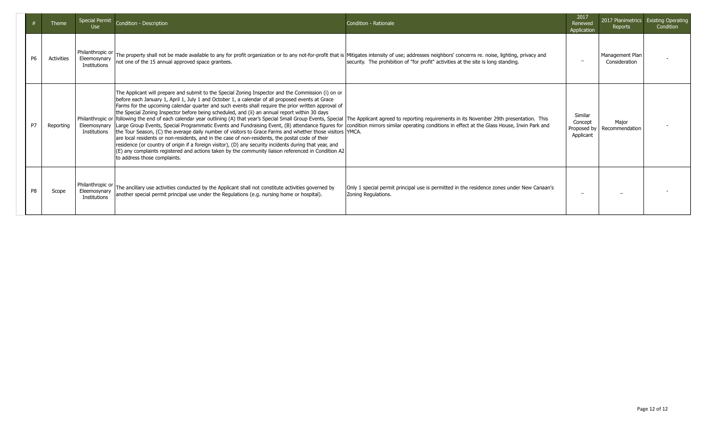|                | Theme             | <b>Use</b>                                       | Special Permit Condition - Description                                                                                                                                                                                                                                                                                                                                                                                                                                                                                                                                                                                                                                                                                                                                                                                                                                                                                                                                                                                                                                                                                                                                                                                                                                                                  | Condition - Rationale                                                                                             | 2017<br>Renewed<br>Application                 | Reports                          | 2017 Planimetrics Existing Operating<br>Condition |
|----------------|-------------------|--------------------------------------------------|---------------------------------------------------------------------------------------------------------------------------------------------------------------------------------------------------------------------------------------------------------------------------------------------------------------------------------------------------------------------------------------------------------------------------------------------------------------------------------------------------------------------------------------------------------------------------------------------------------------------------------------------------------------------------------------------------------------------------------------------------------------------------------------------------------------------------------------------------------------------------------------------------------------------------------------------------------------------------------------------------------------------------------------------------------------------------------------------------------------------------------------------------------------------------------------------------------------------------------------------------------------------------------------------------------|-------------------------------------------------------------------------------------------------------------------|------------------------------------------------|----------------------------------|---------------------------------------------------|
| P6             | <b>Activities</b> | Philanthropic or<br>Eleemosynary<br>Institutions | The property shall not be made available to any for profit organization or to any not-for-profit that is Mitigates intensity of use; addresses neighbors' concerns re. noise, lighting, privacy and<br>not one of the 15 annual approved space grantees.                                                                                                                                                                                                                                                                                                                                                                                                                                                                                                                                                                                                                                                                                                                                                                                                                                                                                                                                                                                                                                                | security. The prohibition of "for profit" activities at the site is long standing.                                |                                                | Management Plan<br>Consideration |                                                   |
| P7             | Reporting         | Eleemosynary<br>Institutions                     | The Applicant will prepare and submit to the Special Zoning Inspector and the Commission (i) on or<br>before each January 1, April 1, July 1 and October 1, a calendar of all proposed events at Grace<br>Farms for the upcoming calendar quarter and such events shall require the prior written approval of<br>the Special Zoning Inspector before being scheduled, and (ii) an annual report within 30 days<br>Philanthropic or following the end of each calendar year outlining (A) that year's Special Small Group Events, Special  The Applicant agreed to reporting requirements in its November 29th presentation. This<br>Large Group Events, Special Programmatic Events and Fundraising Event, (B) attendance figures for condition mirrors similar operating conditions in effect at the Glass House, Irwin Park and<br>the Tour Season, (C) the average daily number of visitors to Grace Farms and whether those visitors  YMCA.<br>are local residents or non-residents, and in the case of non-residents, the postal code of their<br>residence (or country of origin if a foreign visitor), (D) any security incidents during that year, and<br>$ E $ any complaints registered and actions taken by the community liaison referenced in Condition A2<br>to address those complaints. |                                                                                                                   | Similar<br>Concept<br>Proposed by<br>Applicant | Maior<br>Recommendation          |                                                   |
| P <sub>8</sub> | Scope             | Philanthropic or<br>Eleemosynary<br>Institutions | The ancillary use activities conducted by the Applicant shall not constitute activities governed by<br>another special permit principal use under the Regulations (e.g. nursing home or hospital).                                                                                                                                                                                                                                                                                                                                                                                                                                                                                                                                                                                                                                                                                                                                                                                                                                                                                                                                                                                                                                                                                                      | Only 1 special permit principal use is permitted in the residence zones under New Canaan's<br>Zoning Regulations. |                                                |                                  |                                                   |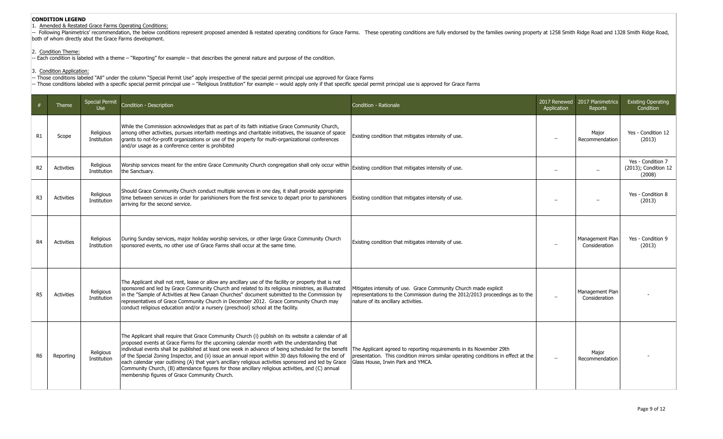# 1. Amended & Restated Grace Farms Operating Conditions:

-- Following Planimetrics' recommendation, the below conditions represent proposed amended & restated operating conditions for Grace Farms. These operating conditions are fully endorsed by the families owning property at 1 both of whom directly abut the Grace Farms development.

### 2. Condition Theme:

-- Each condition is labeled with a theme – "Reporting" for example – that describes the general nature and purpose of the condition.

3. Condition Application:

-- Those conditions labeled "All" under the column "Special Permit Use" apply irrespective of the special permit principal use approved for Grace Farms

-- Those conditions labeled with a specific special permit principal use – "Religious Institution" for example – would apply only if that specific special permit principal use is approved for Grace Farms

|                | Theme             | <b>Special Permit</b><br><b>Use</b> | Condition - Description                                                                                                                                                                                                                                                                                                                                                                                                                                                                                                                                                                                                                                                            | Condition - Rationale                                                                                                                                                                          | Application              | 2017 Renewed 2017 Planimetrics<br>Reports | <b>Existing Operating</b><br>Condition              |
|----------------|-------------------|-------------------------------------|------------------------------------------------------------------------------------------------------------------------------------------------------------------------------------------------------------------------------------------------------------------------------------------------------------------------------------------------------------------------------------------------------------------------------------------------------------------------------------------------------------------------------------------------------------------------------------------------------------------------------------------------------------------------------------|------------------------------------------------------------------------------------------------------------------------------------------------------------------------------------------------|--------------------------|-------------------------------------------|-----------------------------------------------------|
| R1             | Scope             | Religious<br>Institution            | While the Commission acknowledges that as part of its faith initiative Grace Community Church,<br>among other activities, pursues interfaith meetings and charitable initiatives, the issuance of space<br>grants to not-for-profit organizations or use of the property for multi-organizational conferences<br>and/or usage as a conference center is prohibited                                                                                                                                                                                                                                                                                                                 | Existing condition that mitigates intensity of use.                                                                                                                                            | $\overline{\phantom{0}}$ | Major<br>Recommendation                   | Yes - Condition 12<br>(2013)                        |
| R <sub>2</sub> | Activities        | Religious<br>Institution            | Worship services meant for the entire Grace Community Church congregation shall only occur within<br>the Sanctuary.                                                                                                                                                                                                                                                                                                                                                                                                                                                                                                                                                                | Existing condition that mitigates intensity of use.                                                                                                                                            |                          |                                           | Yes - Condition 7<br>(2013); Condition 12<br>(2008) |
| R <sub>3</sub> | Activities        | Religious<br>Institution            | Should Grace Community Church conduct multiple services in one day, it shall provide appropriate<br>time between services in order for parishioners from the first service to depart prior to parishioners<br>arriving for the second service.                                                                                                                                                                                                                                                                                                                                                                                                                                     | Existing condition that mitigates intensity of use.                                                                                                                                            |                          |                                           | Yes - Condition 8<br>(2013)                         |
| R4             | Activities        | Religious<br>Institution            | During Sunday services, major holiday worship services, or other large Grace Community Church<br>sponsored events, no other use of Grace Farms shall occur at the same time.                                                                                                                                                                                                                                                                                                                                                                                                                                                                                                       | Existing condition that mitigates intensity of use.                                                                                                                                            |                          | Management Plan<br>Consideration          | Yes - Condition 9<br>(2013)                         |
| R <sub>5</sub> | <b>Activities</b> | Religious<br>Institution            | The Applicant shall not rent, lease or allow any ancillary use of the facility or property that is not<br>sponsored and led by Grace Community Church and related to its religious ministries, as illustrated<br>in the "Sample of Activities at New Canaan Churches" document submitted to the Commission by<br>representatives of Grace Community Church in December 2012. Grace Community Church may<br>conduct religious education and/or a nursery (preschool) school at the facility.                                                                                                                                                                                        | Mitigates intensity of use. Grace Community Church made explicit<br>representations to the Commission during the 2012/2013 proceedings as to the<br>nature of its ancillary activities.        |                          | Management Plan<br>Consideration          |                                                     |
| R6             | Reporting         | Religious<br>Institution            | The Applicant shall require that Grace Community Church (i) publish on its website a calendar of all<br>proposed events at Grace Farms for the upcoming calendar month with the understanding that<br>individual events shall be published at least one week in advance of being scheduled for the benefit<br>of the Special Zoning Inspector, and (ii) issue an annual report within 30 days following the end of<br>each calendar year outlining (A) that year's ancillary religious activities sponsored and led by Grace<br>Community Church, (B) attendance figures for those ancillary religious activities, and (C) annual<br>membership figures of Grace Community Church. | The Applicant agreed to reporting requirements in its November 29th<br>presentation. This condition mirrors similar operating conditions in effect at the<br>Glass House, Irwin Park and YMCA. | $\overline{\phantom{0}}$ | Major<br>Recommendation                   |                                                     |